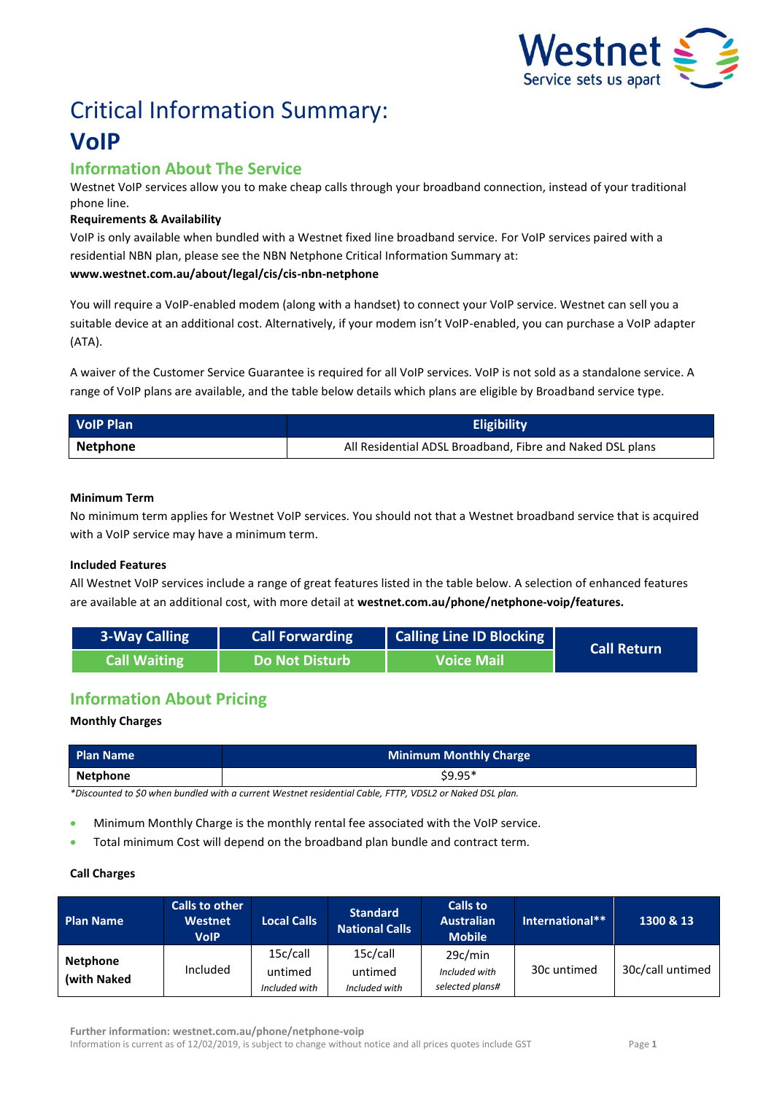

# Critical Information Summary: **VoIP**

# **Information About The Service**

Westnet VoIP services allow you to make cheap calls through your broadband connection, instead of your traditional phone line.

## **Requirements & Availability**

VoIP is only available when bundled with a Westnet fixed line broadband service. For VoIP services paired with a residential NBN plan, please see the NBN Netphone Critical Information Summary at: **www.westnet.com.au/about/legal/cis/cis-nbn-netphone**

You will require a VoIP-enabled modem (along with a handset) to connect your VoIP service. Westnet can sell you a suitable device at an additional cost. Alternatively, if your modem isn't VoIP-enabled, you can purchase a VoIP adapter (ATA).

A waiver of the Customer Service Guarantee is required for all VoIP services. VoIP is not sold as a standalone service. A range of VoIP plans are available, and the table below details which plans are eligible by Broadband service type.

| <b>VolP Plan</b> | <b>Eligibility</b>                                        |  |
|------------------|-----------------------------------------------------------|--|
| Netphone         | All Residential ADSL Broadband, Fibre and Naked DSL plans |  |

### **Minimum Term**

No minimum term applies for Westnet VoIP services. You should not that a Westnet broadband service that is acquired with a VoIP service may have a minimum term.

#### **Included Features**

All Westnet VoIP services include a range of great features listed in the table below. A selection of enhanced features are available at an additional cost, with more detail at **westnet.com.au/phone/netphone-voip/features.**

| <b>3-Way Calling</b> | <b>Call Forwarding</b> | Calling Line ID Blocking | <b>Call Return</b> |
|----------------------|------------------------|--------------------------|--------------------|
| <b>Call Waiting</b>  | Do Not Disturb         | <b>Voice Mail</b>        |                    |

# **Information About Pricing**

## **Monthly Charges**

| <b>Plan Name</b>                                                                                  | <b>Minimum Monthly Charge</b> |  |  |  |
|---------------------------------------------------------------------------------------------------|-------------------------------|--|--|--|
| Netphone                                                                                          | $$9.95*$                      |  |  |  |
| *Dissented to Combas busiled with a supert Western projected Cable FTTD WDCLO as Natural DCL also |                               |  |  |  |

*\*Discounted to \$0 when bundled with a current Westnet residential Cable, FTTP, VDSL2 or Naked DSL plan.*

- Minimum Monthly Charge is the monthly rental fee associated with the VoIP service.
- Total minimum Cost will depend on the broadband plan bundle and contract term.

#### **Call Charges**

| <b>Plan Name</b>               | <b>Calls to other</b><br><b>Westnet</b><br><b>VolP</b> | <b>Local Calls</b>                   | <b>Standard</b><br><b>National Calls</b> | <b>Calls to</b><br><b>Australian</b><br><b>Mobile</b> | International** | 1300 & 13        |
|--------------------------------|--------------------------------------------------------|--------------------------------------|------------------------------------------|-------------------------------------------------------|-----------------|------------------|
| <b>Netphone</b><br>(with Naked | Included                                               | 15c/call<br>untimed<br>Included with | 15c/call<br>untimed<br>Included with     | 29c/min<br>Included with<br>selected plans#           | 30c untimed     | 30c/call untimed |